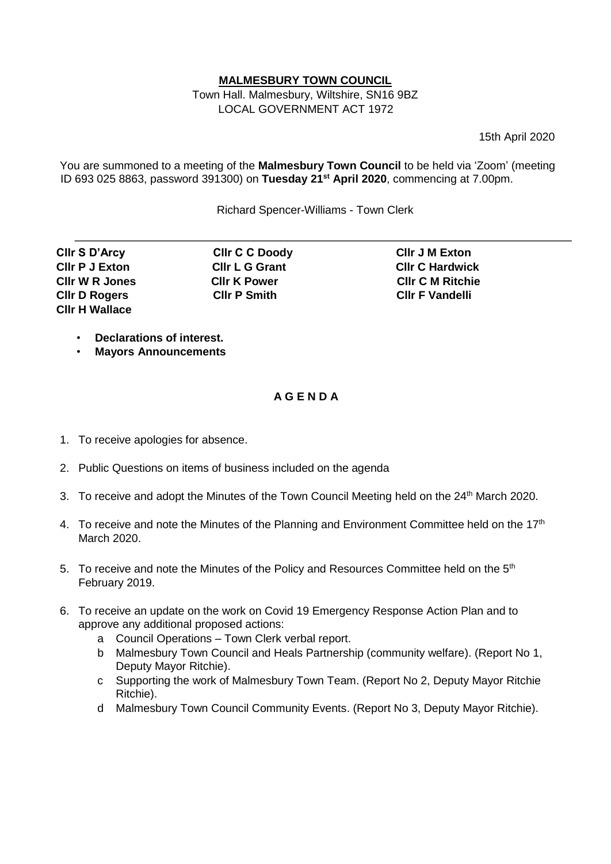## **MALMESBURY TOWN COUNCIL**

Town Hall. Malmesbury, Wiltshire, SN16 9BZ LOCAL GOVERNMENT ACT 1972

15th April 2020

You are summoned to a meeting of the **Malmesbury Town Council** to be held via 'Zoom' (meeting ID 693 025 8863, password 391300) on **Tuesday 21st April 2020**, commencing at 7.00pm.

Richard Spencer-Williams - Town Clerk

**Cllr S D'Arcy Cllr C C Doody Cllr J M Exton Cllr D Rogers Cllr P Smith Cllr F Vandelli Cllr H Wallace** 

**Cllr P J Exton Cllr L G Grant Cllr C Hardwick Cllr W R Jones Cllr K Power Cllr C M Ritchie** 

- **Declarations of interest.**
- **Mayors Announcements**

## **A G E N D A**

- 1. To receive apologies for absence.
- 2. Public Questions on items of business included on the agenda
- 3. To receive and adopt the Minutes of the Town Council Meeting held on the 24<sup>th</sup> March 2020.
- 4. To receive and note the Minutes of the Planning and Environment Committee held on the  $17<sup>th</sup>$ March 2020.
- 5. To receive and note the Minutes of the Policy and Resources Committee held on the 5<sup>th</sup> February 2019.
- 6. To receive an update on the work on Covid 19 Emergency Response Action Plan and to approve any additional proposed actions:
	- a Council Operations Town Clerk verbal report.
	- b Malmesbury Town Council and Heals Partnership (community welfare). (Report No 1, Deputy Mayor Ritchie).
	- c Supporting the work of Malmesbury Town Team. (Report No 2, Deputy Mayor Ritchie Ritchie).
	- d Malmesbury Town Council Community Events. (Report No 3, Deputy Mayor Ritchie).